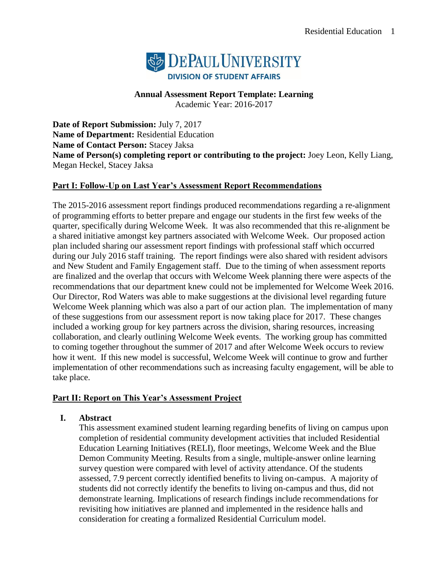

**Annual Assessment Report Template: Learning**

Academic Year: 2016-2017

**Date of Report Submission:** July 7, 2017 **Name of Department:** Residential Education **Name of Contact Person:** Stacey Jaksa **Name of Person(s) completing report or contributing to the project:** Joey Leon, Kelly Liang, Megan Heckel, Stacey Jaksa

## **Part I: Follow-Up on Last Year's Assessment Report Recommendations**

The 2015-2016 assessment report findings produced recommendations regarding a re-alignment of programming efforts to better prepare and engage our students in the first few weeks of the quarter, specifically during Welcome Week. It was also recommended that this re-alignment be a shared initiative amongst key partners associated with Welcome Week. Our proposed action plan included sharing our assessment report findings with professional staff which occurred during our July 2016 staff training. The report findings were also shared with resident advisors and New Student and Family Engagement staff. Due to the timing of when assessment reports are finalized and the overlap that occurs with Welcome Week planning there were aspects of the recommendations that our department knew could not be implemented for Welcome Week 2016. Our Director, Rod Waters was able to make suggestions at the divisional level regarding future Welcome Week planning which was also a part of our action plan. The implementation of many of these suggestions from our assessment report is now taking place for 2017. These changes included a working group for key partners across the division, sharing resources, increasing collaboration, and clearly outlining Welcome Week events. The working group has committed to coming together throughout the summer of 2017 and after Welcome Week occurs to review how it went. If this new model is successful, Welcome Week will continue to grow and further implementation of other recommendations such as increasing faculty engagement, will be able to take place.

## **Part II: Report on This Year's Assessment Project**

## **I. Abstract**

This assessment examined student learning regarding benefits of living on campus upon completion of residential community development activities that included Residential Education Learning Initiatives (RELI), floor meetings, Welcome Week and the Blue Demon Community Meeting. Results from a single, multiple-answer online learning survey question were compared with level of activity attendance. Of the students assessed, 7.9 percent correctly identified benefits to living on-campus. A majority of students did not correctly identify the benefits to living on-campus and thus, did not demonstrate learning. Implications of research findings include recommendations for revisiting how initiatives are planned and implemented in the residence halls and consideration for creating a formalized Residential Curriculum model.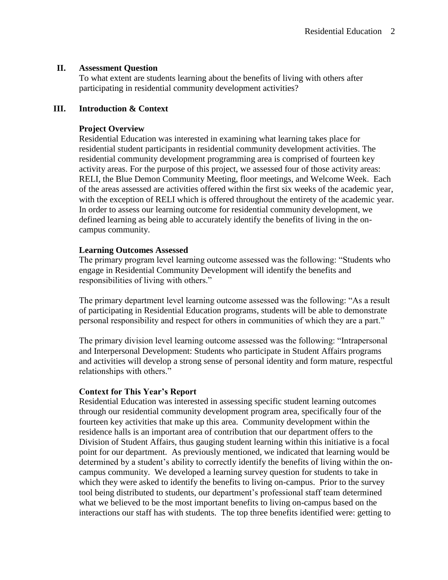## **II. Assessment Question**

To what extent are students learning about the benefits of living with others after participating in residential community development activities?

## **III. Introduction & Context**

## **Project Overview**

Residential Education was interested in examining what learning takes place for residential student participants in residential community development activities. The residential community development programming area is comprised of fourteen key activity areas. For the purpose of this project, we assessed four of those activity areas: RELI, the Blue Demon Community Meeting, floor meetings, and Welcome Week. Each of the areas assessed are activities offered within the first six weeks of the academic year, with the exception of RELI which is offered throughout the entirety of the academic year. In order to assess our learning outcome for residential community development, we defined learning as being able to accurately identify the benefits of living in the oncampus community.

## **Learning Outcomes Assessed**

The primary program level learning outcome assessed was the following: "Students who engage in Residential Community Development will identify the benefits and responsibilities of living with others."

The primary department level learning outcome assessed was the following: "As a result of participating in Residential Education programs, students will be able to demonstrate personal responsibility and respect for others in communities of which they are a part."

The primary division level learning outcome assessed was the following: "Intrapersonal and Interpersonal Development: Students who participate in Student Affairs programs and activities will develop a strong sense of personal identity and form mature, respectful relationships with others."

#### **Context for This Year's Report**

Residential Education was interested in assessing specific student learning outcomes through our residential community development program area, specifically four of the fourteen key activities that make up this area. Community development within the residence halls is an important area of contribution that our department offers to the Division of Student Affairs, thus gauging student learning within this initiative is a focal point for our department. As previously mentioned, we indicated that learning would be determined by a student's ability to correctly identify the benefits of living within the oncampus community. We developed a learning survey question for students to take in which they were asked to identify the benefits to living on-campus. Prior to the survey tool being distributed to students, our department's professional staff team determined what we believed to be the most important benefits to living on-campus based on the interactions our staff has with students. The top three benefits identified were: getting to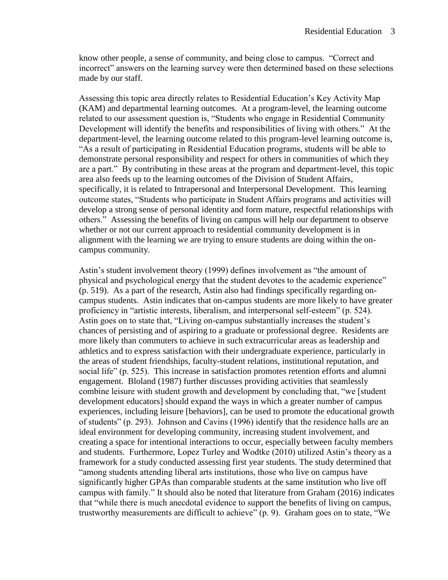know other people, a sense of community, and being close to campus. "Correct and incorrect" answers on the learning survey were then determined based on these selections made by our staff.

Assessing this topic area directly relates to Residential Education's Key Activity Map (KAM) and departmental learning outcomes. At a program-level, the learning outcome related to our assessment question is, "Students who engage in Residential Community Development will identify the benefits and responsibilities of living with others." At the department-level, the learning outcome related to this program-level learning outcome is, "As a result of participating in Residential Education programs, students will be able to demonstrate personal responsibility and respect for others in communities of which they are a part." By contributing in these areas at the program and department-level, this topic area also feeds up to the learning outcomes of the Division of Student Affairs, specifically, it is related to Intrapersonal and Interpersonal Development. This learning outcome states, "Students who participate in Student Affairs programs and activities will develop a strong sense of personal identity and form mature, respectful relationships with others." Assessing the benefits of living on campus will help our department to observe whether or not our current approach to residential community development is in alignment with the learning we are trying to ensure students are doing within the oncampus community.

Astin's student involvement theory (1999) defines involvement as "the amount of physical and psychological energy that the student devotes to the academic experience" (p. 519). As a part of the research, Astin also had findings specifically regarding oncampus students. Astin indicates that on-campus students are more likely to have greater proficiency in "artistic interests, liberalism, and interpersonal self-esteem" (p. 524). Astin goes on to state that, "Living on-campus substantially increases the student's chances of persisting and of aspiring to a graduate or professional degree. Residents are more likely than commuters to achieve in such extracurricular areas as leadership and athletics and to express satisfaction with their undergraduate experience, particularly in the areas of student friendships, faculty-student relations, institutional reputation, and social life" (p. 525). This increase in satisfaction promotes retention efforts and alumni engagement. Bloland (1987) further discusses providing activities that seamlessly combine leisure with student growth and development by concluding that, "we [student development educators] should expand the ways in which a greater number of campus experiences, including leisure [behaviors], can be used to promote the educational growth of students" (p. 293). Johnson and Cavins (1996) identify that the residence halls are an ideal environment for developing community, increasing student involvement, and creating a space for intentional interactions to occur, especially between faculty members and students. Furthermore, Lopez Turley and Wodtke (2010) utilized Astin's theory as a framework for a study conducted assessing first year students. The study determined that "among students attending liberal arts institutions, those who live on campus have significantly higher GPAs than comparable students at the same institution who live off campus with family." It should also be noted that literature from Graham (2016) indicates that "while there is much anecdotal evidence to support the benefits of living on campus, trustworthy measurements are difficult to achieve" (p. 9). Graham goes on to state, "We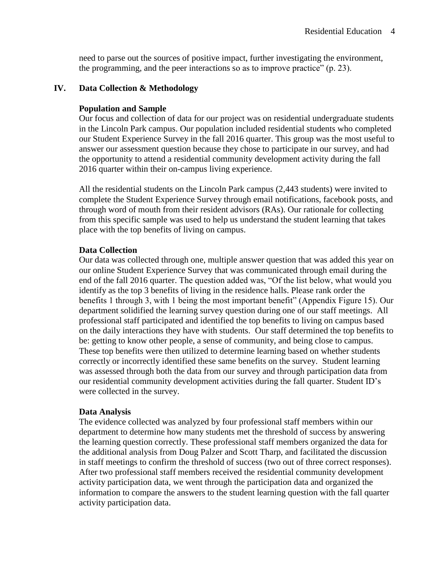need to parse out the sources of positive impact, further investigating the environment, the programming, and the peer interactions so as to improve practice" (p. 23).

#### **IV. Data Collection & Methodology**

#### **Population and Sample**

Our focus and collection of data for our project was on residential undergraduate students in the Lincoln Park campus. Our population included residential students who completed our Student Experience Survey in the fall 2016 quarter. This group was the most useful to answer our assessment question because they chose to participate in our survey, and had the opportunity to attend a residential community development activity during the fall 2016 quarter within their on-campus living experience.

All the residential students on the Lincoln Park campus (2,443 students) were invited to complete the Student Experience Survey through email notifications, facebook posts, and through word of mouth from their resident advisors (RAs). Our rationale for collecting from this specific sample was used to help us understand the student learning that takes place with the top benefits of living on campus.

#### **Data Collection**

Our data was collected through one, multiple answer question that was added this year on our online Student Experience Survey that was communicated through email during the end of the fall 2016 quarter. The question added was, "Of the list below, what would you identify as the top 3 benefits of living in the residence halls. Please rank order the benefits 1 through 3, with 1 being the most important benefit" (Appendix Figure 15). Our department solidified the learning survey question during one of our staff meetings. All professional staff participated and identified the top benefits to living on campus based on the daily interactions they have with students. Our staff determined the top benefits to be: getting to know other people, a sense of community, and being close to campus. These top benefits were then utilized to determine learning based on whether students correctly or incorrectly identified these same benefits on the survey. Student learning was assessed through both the data from our survey and through participation data from our residential community development activities during the fall quarter. Student ID's were collected in the survey.

#### **Data Analysis**

The evidence collected was analyzed by four professional staff members within our department to determine how many students met the threshold of success by answering the learning question correctly. These professional staff members organized the data for the additional analysis from Doug Palzer and Scott Tharp, and facilitated the discussion in staff meetings to confirm the threshold of success (two out of three correct responses). After two professional staff members received the residential community development activity participation data, we went through the participation data and organized the information to compare the answers to the student learning question with the fall quarter activity participation data.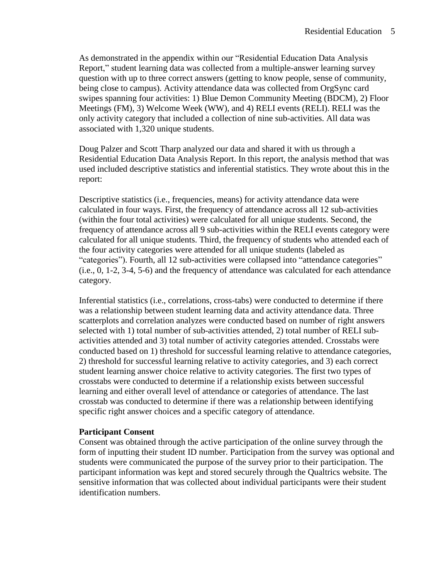As demonstrated in the appendix within our "Residential Education Data Analysis Report," student learning data was collected from a multiple-answer learning survey question with up to three correct answers (getting to know people, sense of community, being close to campus). Activity attendance data was collected from OrgSync card swipes spanning four activities: 1) Blue Demon Community Meeting (BDCM), 2) Floor Meetings (FM), 3) Welcome Week (WW), and 4) RELI events (RELI). RELI was the only activity category that included a collection of nine sub-activities. All data was associated with 1,320 unique students.

Doug Palzer and Scott Tharp analyzed our data and shared it with us through a Residential Education Data Analysis Report. In this report, the analysis method that was used included descriptive statistics and inferential statistics. They wrote about this in the report:

Descriptive statistics (i.e., frequencies, means) for activity attendance data were calculated in four ways. First, the frequency of attendance across all 12 sub-activities (within the four total activities) were calculated for all unique students. Second, the frequency of attendance across all 9 sub-activities within the RELI events category were calculated for all unique students. Third, the frequency of students who attended each of the four activity categories were attended for all unique students (labeled as "categories"). Fourth, all 12 sub-activities were collapsed into "attendance categories" (i.e., 0, 1-2, 3-4, 5-6) and the frequency of attendance was calculated for each attendance category.

Inferential statistics (i.e., correlations, cross-tabs) were conducted to determine if there was a relationship between student learning data and activity attendance data. Three scatterplots and correlation analyzes were conducted based on number of right answers selected with 1) total number of sub-activities attended, 2) total number of RELI subactivities attended and 3) total number of activity categories attended. Crosstabs were conducted based on 1) threshold for successful learning relative to attendance categories, 2) threshold for successful learning relative to activity categories, and 3) each correct student learning answer choice relative to activity categories. The first two types of crosstabs were conducted to determine if a relationship exists between successful learning and either overall level of attendance or categories of attendance. The last crosstab was conducted to determine if there was a relationship between identifying specific right answer choices and a specific category of attendance.

#### **Participant Consent**

Consent was obtained through the active participation of the online survey through the form of inputting their student ID number. Participation from the survey was optional and students were communicated the purpose of the survey prior to their participation. The participant information was kept and stored securely through the Qualtrics website. The sensitive information that was collected about individual participants were their student identification numbers.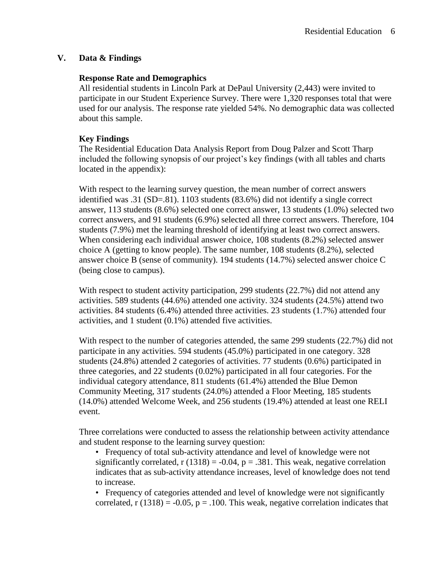## **V. Data & Findings**

#### **Response Rate and Demographics**

All residential students in Lincoln Park at DePaul University (2,443) were invited to participate in our Student Experience Survey. There were 1,320 responses total that were used for our analysis. The response rate yielded 54%. No demographic data was collected about this sample.

## **Key Findings**

The Residential Education Data Analysis Report from Doug Palzer and Scott Tharp included the following synopsis of our project's key findings (with all tables and charts located in the appendix):

With respect to the learning survey question, the mean number of correct answers identified was .31 (SD=.81). 1103 students (83.6%) did not identify a single correct answer, 113 students (8.6%) selected one correct answer, 13 students (1.0%) selected two correct answers, and 91 students (6.9%) selected all three correct answers. Therefore, 104 students (7.9%) met the learning threshold of identifying at least two correct answers. When considering each individual answer choice, 108 students (8.2%) selected answer choice A (getting to know people). The same number, 108 students (8.2%), selected answer choice B (sense of community). 194 students (14.7%) selected answer choice C (being close to campus).

With respect to student activity participation, 299 students (22.7%) did not attend any activities. 589 students (44.6%) attended one activity. 324 students (24.5%) attend two activities. 84 students (6.4%) attended three activities. 23 students (1.7%) attended four activities, and 1 student (0.1%) attended five activities.

With respect to the number of categories attended, the same 299 students (22.7%) did not participate in any activities. 594 students (45.0%) participated in one category. 328 students (24.8%) attended 2 categories of activities. 77 students (0.6%) participated in three categories, and 22 students (0.02%) participated in all four categories. For the individual category attendance, 811 students (61.4%) attended the Blue Demon Community Meeting, 317 students (24.0%) attended a Floor Meeting, 185 students (14.0%) attended Welcome Week, and 256 students (19.4%) attended at least one RELI event.

Three correlations were conducted to assess the relationship between activity attendance and student response to the learning survey question:

• Frequency of total sub-activity attendance and level of knowledge were not significantly correlated,  $r(1318) = -0.04$ ,  $p = .381$ . This weak, negative correlation indicates that as sub-activity attendance increases, level of knowledge does not tend to increase.

• Frequency of categories attended and level of knowledge were not significantly correlated,  $r(1318) = -0.05$ ,  $p = .100$ . This weak, negative correlation indicates that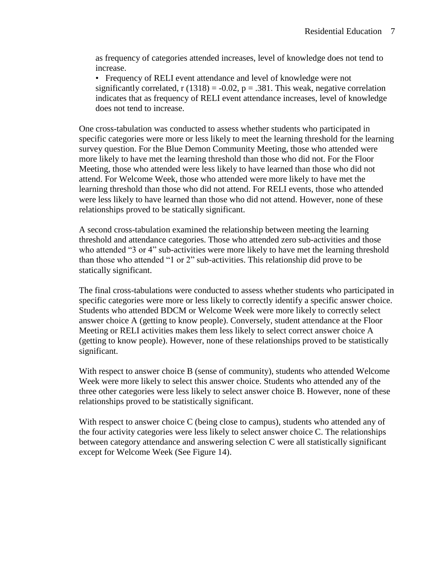as frequency of categories attended increases, level of knowledge does not tend to increase.

• Frequency of RELI event attendance and level of knowledge were not significantly correlated,  $r(1318) = -0.02$ ,  $p = .381$ . This weak, negative correlation indicates that as frequency of RELI event attendance increases, level of knowledge does not tend to increase.

One cross-tabulation was conducted to assess whether students who participated in specific categories were more or less likely to meet the learning threshold for the learning survey question. For the Blue Demon Community Meeting, those who attended were more likely to have met the learning threshold than those who did not. For the Floor Meeting, those who attended were less likely to have learned than those who did not attend. For Welcome Week, those who attended were more likely to have met the learning threshold than those who did not attend. For RELI events, those who attended were less likely to have learned than those who did not attend. However, none of these relationships proved to be statically significant.

A second cross-tabulation examined the relationship between meeting the learning threshold and attendance categories. Those who attended zero sub-activities and those who attended "3 or 4" sub-activities were more likely to have met the learning threshold than those who attended "1 or 2" sub-activities. This relationship did prove to be statically significant.

The final cross-tabulations were conducted to assess whether students who participated in specific categories were more or less likely to correctly identify a specific answer choice. Students who attended BDCM or Welcome Week were more likely to correctly select answer choice A (getting to know people). Conversely, student attendance at the Floor Meeting or RELI activities makes them less likely to select correct answer choice A (getting to know people). However, none of these relationships proved to be statistically significant.

With respect to answer choice B (sense of community), students who attended Welcome Week were more likely to select this answer choice. Students who attended any of the three other categories were less likely to select answer choice B. However, none of these relationships proved to be statistically significant.

With respect to answer choice C (being close to campus), students who attended any of the four activity categories were less likely to select answer choice C. The relationships between category attendance and answering selection C were all statistically significant except for Welcome Week (See Figure 14).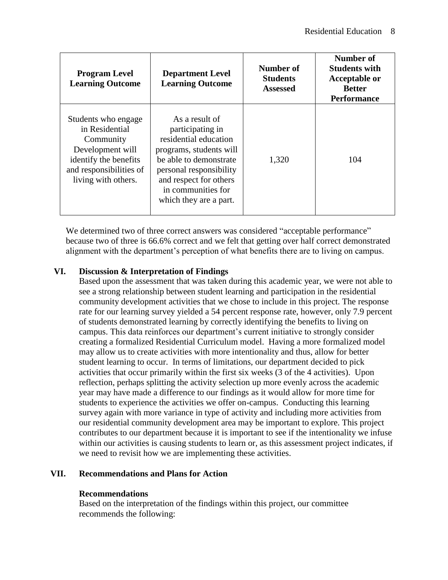| <b>Program Level</b><br><b>Learning Outcome</b>                                                                                                   | <b>Department Level</b><br><b>Learning Outcome</b>                                                                                                                                                                    | Number of<br><b>Students</b><br><b>Assessed</b> | Number of<br><b>Students with</b><br><b>Acceptable or</b><br><b>Better</b><br><b>Performance</b> |
|---------------------------------------------------------------------------------------------------------------------------------------------------|-----------------------------------------------------------------------------------------------------------------------------------------------------------------------------------------------------------------------|-------------------------------------------------|--------------------------------------------------------------------------------------------------|
| Students who engage<br>in Residential<br>Community<br>Development will<br>identify the benefits<br>and responsibilities of<br>living with others. | As a result of<br>participating in<br>residential education<br>programs, students will<br>be able to demonstrate<br>personal responsibility<br>and respect for others<br>in communities for<br>which they are a part. | 1,320                                           | 104                                                                                              |

We determined two of three correct answers was considered "acceptable performance" because two of three is 66.6% correct and we felt that getting over half correct demonstrated alignment with the department's perception of what benefits there are to living on campus.

## **VI. Discussion & Interpretation of Findings**

Based upon the assessment that was taken during this academic year, we were not able to see a strong relationship between student learning and participation in the residential community development activities that we chose to include in this project. The response rate for our learning survey yielded a 54 percent response rate, however, only 7.9 percent of students demonstrated learning by correctly identifying the benefits to living on campus. This data reinforces our department's current initiative to strongly consider creating a formalized Residential Curriculum model. Having a more formalized model may allow us to create activities with more intentionality and thus, allow for better student learning to occur. In terms of limitations, our department decided to pick activities that occur primarily within the first six weeks (3 of the 4 activities). Upon reflection, perhaps splitting the activity selection up more evenly across the academic year may have made a difference to our findings as it would allow for more time for students to experience the activities we offer on-campus. Conducting this learning survey again with more variance in type of activity and including more activities from our residential community development area may be important to explore. This project contributes to our department because it is important to see if the intentionality we infuse within our activities is causing students to learn or, as this assessment project indicates, if we need to revisit how we are implementing these activities.

## **VII. Recommendations and Plans for Action**

## **Recommendations**

Based on the interpretation of the findings within this project, our committee recommends the following: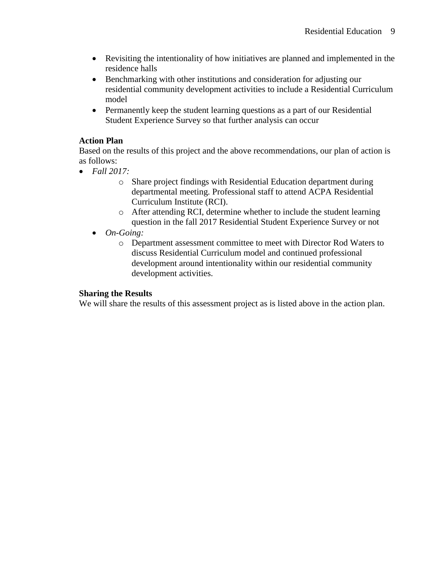- Revisiting the intentionality of how initiatives are planned and implemented in the residence halls
- Benchmarking with other institutions and consideration for adjusting our residential community development activities to include a Residential Curriculum model
- Permanently keep the student learning questions as a part of our Residential Student Experience Survey so that further analysis can occur

## **Action Plan**

Based on the results of this project and the above recommendations, our plan of action is as follows:

- *Fall 2017:*
	- o Share project findings with Residential Education department during departmental meeting. Professional staff to attend ACPA Residential Curriculum Institute (RCI).
	- o After attending RCI, determine whether to include the student learning question in the fall 2017 Residential Student Experience Survey or not
	- *On-Going:*
		- o Department assessment committee to meet with Director Rod Waters to discuss Residential Curriculum model and continued professional development around intentionality within our residential community development activities.

## **Sharing the Results**

We will share the results of this assessment project as is listed above in the action plan.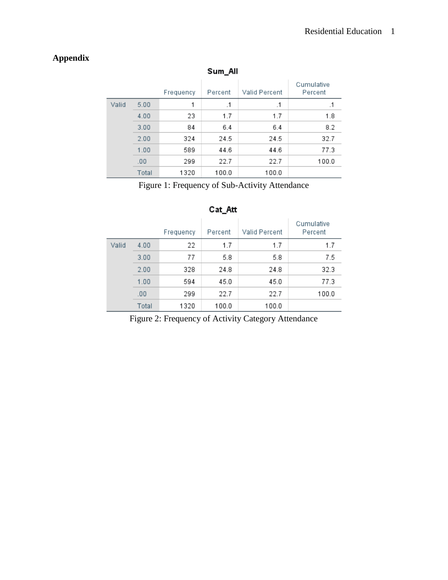## **Appendix**

|       |       | Frequency | Percent   | Valid Percent | Cumulative<br>Percent |
|-------|-------|-----------|-----------|---------------|-----------------------|
| Valid | 5.00  |           | $\cdot$ 1 | $\cdot$ 1     | .1                    |
|       | 4.00  | 23        | 1.7       | 1.7           | 1.8                   |
|       | 3.00  | 84        | 6.4       | 6.4           | 8.2                   |
|       | 2.00  | 324       | 24.5      | 24.5          | 32.7                  |
|       | 1.00  | 589       | 44.6      | 44.6          | 77.3                  |
|       | .00   | 299       | 22.7      | 22.7          | 100.0                 |
|       | Total | 1320      | 100.0     | 100.0         |                       |

## Sum\_All

Figure 1: Frequency of Sub-Activity Attendance

#### Cumulative Frequency Percent Valid Percent Percent Valid  $4.00$ 22  $1.7$  $1.7$  $1.7$  $77\,$  $5.8\,$  $7.5\,$  $3.00$  $5.8\,$ 24.8 24.8 32.3  $2.00$ 328  $1.00$ 594 77.3  $45.0$ 45.0  $00.$ 22.7 22.7 299 100.0 Total 1320 100.0 100.0

## Cat\_Att

Figure 2: Frequency of Activity Category Attendance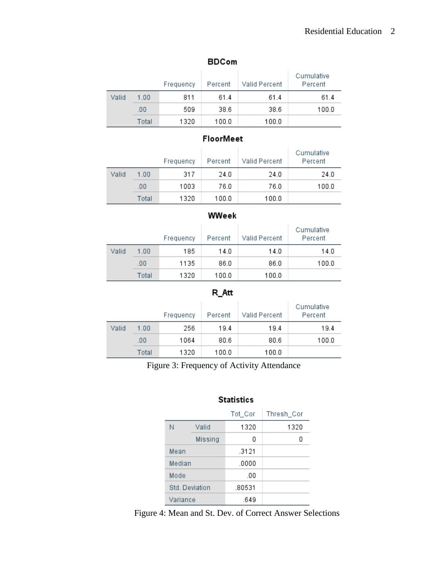## Residential Education 2

|       |       | Frequency | Percent | Valid Percent | Cumulative<br>Percent |
|-------|-------|-----------|---------|---------------|-----------------------|
| Valid | 1.00  | 811       | 61.4    | 61.4          | 61.4                  |
|       | .00   | 509       | 38.6    | 38.6          | 100.0                 |
|       | Total | 1320      | 100.0   | 100.0         |                       |

## **BDCom**

## **FloorMeet**

|       |       | Frequency | Percent | Valid Percent | Cumulative<br>Percent |
|-------|-------|-----------|---------|---------------|-----------------------|
| Valid | 1.00  | 317       | 24.0    | 24.0          | 24.0                  |
|       | .00   | 1003      | 76.0    | 76.0          | 100.0                 |
|       | Total | 1320      | 100.0   | 100.0         |                       |

## WWeek

|       |       | Frequency | Percent | Valid Percent | Cumulative<br>Percent |
|-------|-------|-----------|---------|---------------|-----------------------|
| Valid | 1.00  | 185       | 14.0    | 14.0          | 14.0                  |
|       | .00   | 1135      | 86.0    | 86.0          | 100.0                 |
|       | Total | 1320      | 100.0   | 100.0         |                       |

## $R\_Att$

|       |       | Frequency | Percent | Valid Percent | Cumulative<br>Percent |
|-------|-------|-----------|---------|---------------|-----------------------|
| Valid | 1.00  | 256       | 19.4    | 19.4          | 19.4                  |
|       | .00   | 1064      | 80.6    | 80.6          | 100.0                 |
|       | Total | 1320      | 100.0   | 100.0         |                       |

Figure 3: Frequency of Activity Attendance

## **Statistics**

|                |         | Tot_Cor | Thresh Cor |
|----------------|---------|---------|------------|
| Ν              | Valid   | 1320    | 1320       |
|                | Missing | 0       | n          |
| Mean           |         | .3121   |            |
| Median         |         | .0000   |            |
| Mode           |         | .00     |            |
| Std. Deviation |         | .80531  |            |
| Variance       |         | .649    |            |

Figure 4: Mean and St. Dev. of Correct Answer Selections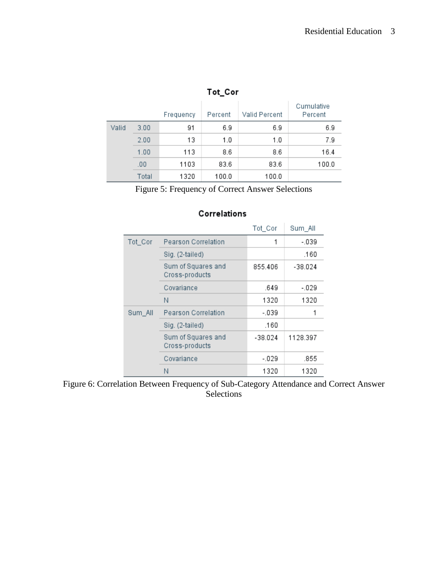|       |       | Frequency | Percent | Valid Percent | Cumulative<br>Percent |  |
|-------|-------|-----------|---------|---------------|-----------------------|--|
| Valid | 3.00  | 91        | 6.9     | 6.9           | 6.9                   |  |
|       | 2.00  | 13        | 1.0     | 1.0           | 7.9                   |  |
|       | 1.00  | 113       | 8.6     | 8.6           | 16.4                  |  |
|       | .00   | 1103      | 83.6    | 83.6          | 100.0                 |  |
|       | Total | 1320      | 100.0   | 100.0         |                       |  |

## Tot Cor

Figure 5: Frequency of Correct Answer Selections

#### Tot\_Cor Sum\_All Tot\_Cor Pearson Correlation  $-0.39$  $\mathbf{1}$ Sig. (2-tailed) .160 Sum of Squares and 855.406  $-38.024$ Cross-products Covariance .649  $-0.29$ N. 1320 1320 Pearson Correlation  $-.039$ Sum\_All 1 Sig. (2-tailed) .160 Sum of Squares and  $-38.024$ 1128.397 Cross-products Covariance  $-0.29$ .855 N 1320 1320

## Correlations

Figure 6: Correlation Between Frequency of Sub-Category Attendance and Correct Answer Selections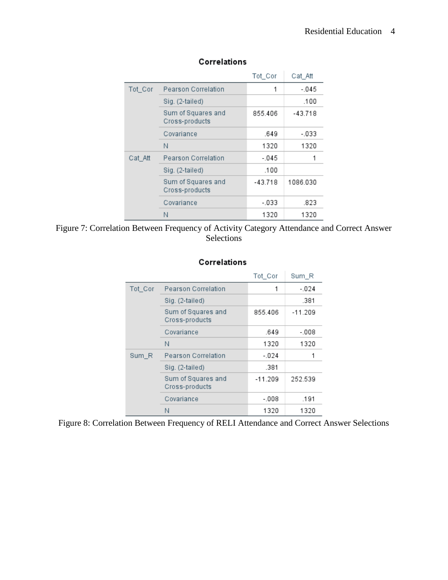|         |                                      | Tot_Cor   | Cat_Att   |
|---------|--------------------------------------|-----------|-----------|
| Tot_Cor | Pearson Correlation                  |           | $-0.45$   |
|         | Sig. (2-tailed)                      |           | .100      |
|         | Sum of Squares and<br>Cross-products | 855.406   | $-43.718$ |
|         | Covariance                           | .649      | $-0.33$   |
|         | Ν                                    | 1320      | 1320      |
| Cat Att | Pearson Correlation                  | $-045$    |           |
|         | Sig. (2-tailed)                      | .100      |           |
|         | Sum of Squares and<br>Cross-products | $-43.718$ | 1086.030  |
|         | Covariance                           | - 033     | .823      |
|         | Ν                                    | 1320      | 1320      |

## Correlations

## Figure 7: Correlation Between Frequency of Activity Category Attendance and Correct Answer Selections

| Correlations |
|--------------|
|--------------|

|         |                                      | Tot_Cor   | Sum R     |
|---------|--------------------------------------|-----------|-----------|
| Tot_Cor | Pearson Correlation                  | 1         | $-024$    |
|         | Sig. (2-tailed)                      |           | .381      |
|         | Sum of Squares and<br>Cross-products | 855.406   | $-11.209$ |
|         | Covariance                           | .649      | -.008     |
|         | Ν                                    | 1320      | 1320      |
| Sum_R   | Pearson Correlation                  | $-024$    |           |
|         | Sig. (2-tailed)                      | .381      |           |
|         | Sum of Squares and<br>Cross-products | $-11.209$ | 252.539   |
|         | Covariance                           | $-.008$   | .191      |
|         | Ν                                    | 1320      | 1320      |

Figure 8: Correlation Between Frequency of RELI Attendance and Correct Answer Selections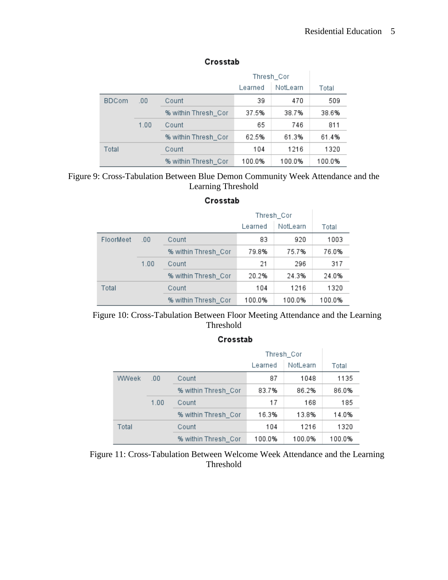|              |      |                     | Thresh_Cor |          |        |
|--------------|------|---------------------|------------|----------|--------|
|              |      |                     | Learned    | NotLearn | Total  |
| <b>BDCom</b> | .00. | Count               | 39         | 470      | 509    |
|              |      | % within Thresh Cor | 37.5%      | 38.7%    | 38.6%  |
|              | 1.00 | Count               | 65         | 746      | 811    |
|              |      | % within Thresh Cor | 62.5%      | 61.3%    | 61.4%  |
| Total        |      | Count               | 104        | 1216     | 1320   |
|              |      | % within Thresh Cor | 100.0%     | 100.0%   | 100.0% |

## Crosstab

## Figure 9: Cross-Tabulation Between Blue Demon Community Week Attendance and the Learning Threshold

## Crosstab

|           |      | Thresh_Cor          |         |          |        |
|-----------|------|---------------------|---------|----------|--------|
|           |      |                     | Learned | NotLearn | Total  |
| FloorMeet | .00  | Count               | 83      | 920      | 1003   |
|           |      | % within Thresh_Cor | 79.8%   | 75.7%    | 76.0%  |
|           | 1.00 | Count               | 21      | 296      | 317    |
|           |      | % within Thresh_Cor | 20.2%   | 24.3%    | 24.0%  |
| Total     |      | Count               | 104     | 1216     | 1320   |
|           |      | % within Thresh Cor | 100.0%  | 100.0%   | 100.0% |

Figure 10: Cross-Tabulation Between Floor Meeting Attendance and the Learning Threshold

## Crosstab

|       |      | Thresh_Cor          |         |          |        |
|-------|------|---------------------|---------|----------|--------|
|       |      |                     | Learned | NotLearn | Total  |
| WWeek | .00  | Count               | 87      | 1048     | 1135   |
|       |      | % within Thresh_Cor | 83.7%   | 86.2%    | 86.0%  |
|       | 1.00 | Count               | 17      | 168      | 185    |
|       |      | % within Thresh_Cor | 16.3%   | 13.8%    | 14.0%  |
| Total |      | Count               | 104     | 1216     | 1320   |
|       |      | % within Thresh Cor | 100.0%  | 100.0%   | 100.0% |

Figure 11: Cross-Tabulation Between Welcome Week Attendance and the Learning Threshold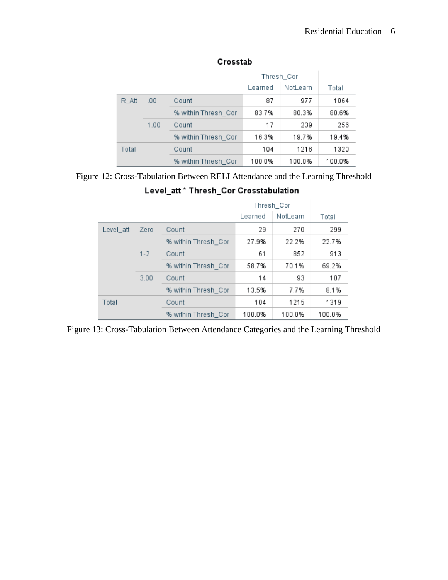|          |       | Thresh_Cor          |         |          |        |
|----------|-------|---------------------|---------|----------|--------|
|          |       |                     | Learned | NotLearn | Total  |
| $R\_Att$ | .00   | Count               | 87      | 977      | 1064   |
| 1.00     |       | % within Thresh_Cor | 83.7%   | 80.3%    | 80.6%  |
|          | Count | 17                  | 239     | 256      |        |
|          |       | % within Thresh Cor | 16.3%   | 19.7%    | 19.4%  |
| Total    |       | Count               | 104     | 1216     | 1320   |
|          |       | % within Thresh Cor | 100.0%  | 100.0%   | 100.0% |

## Crosstab

# Figure 12: Cross-Tabulation Between RELI Attendance and the Learning Threshold

## Level\_att \* Thresh\_Cor Crosstabulation

|           |         | Thresh_Cor          |         |          |        |
|-----------|---------|---------------------|---------|----------|--------|
|           |         |                     | Learned | NotLearn | Total  |
| Level_att | Zero    | Count               | 29      | 270      | 299    |
|           |         | % within Thresh_Cor | 27.9%   | 22.2%    | 22.7%  |
|           | $1 - 2$ | Count               | 61      | 852      | 913    |
|           |         | % within Thresh_Cor | 58.7%   | 70.1%    | 69.2%  |
|           | 3.00    | Count               | 14      | 93       | 107    |
|           |         | % within Thresh_Cor | 13.5%   | 7.7%     | 8.1%   |
| Total     |         | Count               | 104     | 1215     | 1319   |
|           |         | % within Thresh_Cor | 100.0%  | 100.0%   | 100.0% |

Figure 13: Cross-Tabulation Between Attendance Categories and the Learning Threshold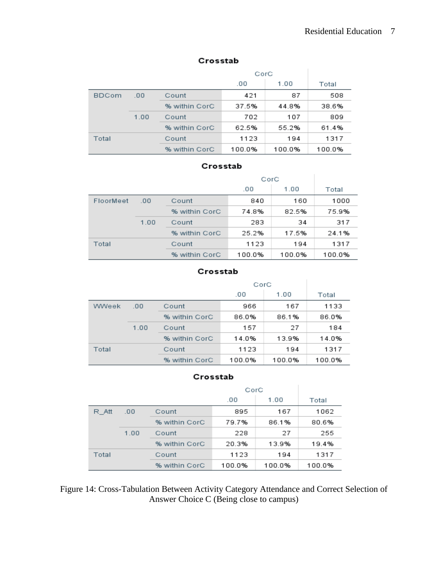## Crosstab

|              |      |               | CorC   |        |        |
|--------------|------|---------------|--------|--------|--------|
|              |      |               | .00    | 1.00   | Total  |
| <b>BDCom</b> | .00  | Count         | 421    | 87     | 508    |
|              |      | % within CorC | 37.5%  | 44.8%  | 38.6%  |
|              | 1.00 | Count         | 702    | 107    | 809    |
|              |      | % within CorC | 62.5%  | 55.2%  | 61.4%  |
| Total        |      | Count         | 1123   | 194    | 1317   |
|              |      | % within CorC | 100.0% | 100.0% | 100.0% |

## Crosstab

|           |      |               | CorC   |        |        |
|-----------|------|---------------|--------|--------|--------|
|           |      |               | .00    | 1.00   | Total  |
| FloorMeet | .00  | Count         | 840    | 160    | 1000   |
|           |      | % within CorC | 74.8%  | 82.5%  | 75.9%  |
|           | 1.00 | Count         | 283    | 34     | 317    |
|           |      | % within CorC | 25.2%  | 17.5%  | 24.1%  |
| Total     |      | Count         | 1123   | 194    | 1317   |
|           |      | % within CorC | 100.0% | 100.0% | 100.0% |

#### Crosstab

|       |      |               | CorC   |        |        |
|-------|------|---------------|--------|--------|--------|
|       |      |               | .00    | 1.00   | Total  |
| WWeek | .00  | Count         | 966    | 167    | 1133   |
|       |      | % within CorC | 86.0%  | 86.1%  | 86.0%  |
|       | 1.00 | Count         | 157    | 27     | 184    |
|       |      | % within CorC | 14.0%  | 13.9%  | 14.0%  |
| Total |      | Count         | 1123   | 194    | 1317   |
|       |      | % within CorC | 100.0% | 100.0% | 100.0% |

#### Crosstab

|              |       |               | CorC   |        |        |
|--------------|-------|---------------|--------|--------|--------|
|              |       |               | .00    | 1.00   | Total  |
| R Att<br>.00 | Count | 895           | 167    | 1062   |        |
|              |       | % within CorC | 79.7%  | 86.1%  | 80.6%  |
|              | 1.00  | Count         | 228    | 27     | 255    |
|              |       | % within CorC | 20.3%  | 13.9%  | 19.4%  |
| Total        |       | Count         | 1123   | 194    | 1317   |
|              |       | % within CorC | 100.0% | 100.0% | 100.0% |

Figure 14: Cross-Tabulation Between Activity Category Attendance and Correct Selection of Answer Choice C (Being close to campus)